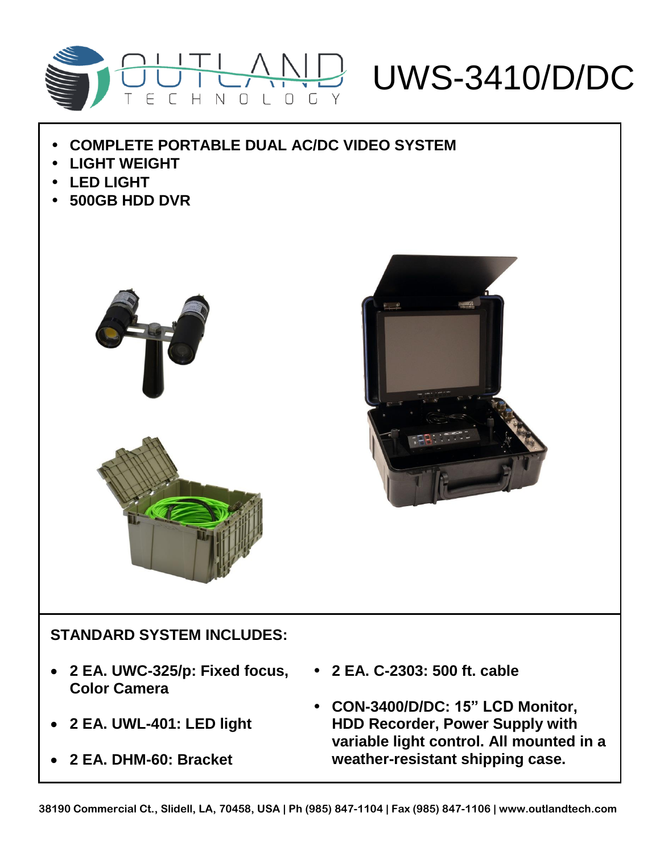

- **COMPLETE PORTABLE DUAL AC/DC VIDEO SYSTEM**
- **LIGHT WEIGHT**
- **LED LIGHT**
- **500GB HDD DVR**





## **STANDARD SYSTEM INCLUDES:**

- **2 EA. UWC-325/p: Fixed focus, 2 EA. C-2303: 500 ft. cable Color Camera**
- **2 EA. UWL-401: LED light**
- **2 EA. DHM-60: Bracket**
- 
- **CON-3400/D/DC: 15" LCD Monitor, HDD Recorder, Power Supply with variable light control. All mounted in a weather-resistant shipping case.**